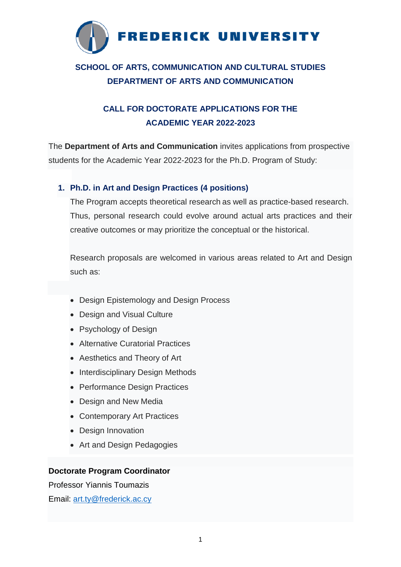

# **SCHOOL OF ARTS, COMMUNICATION AND CULTURAL STUDIES DEPARTMENT OF ARTS AND COMMUNICATION**

## **CALL FOR DOCTORATE APPLICATIONS FOR THE ACADEMIC YEAR 2022-2023**

The **Department of Arts and Communication** invites applications from prospective students for the Academic Year 2022-2023 for the Ph.D. Program of Study:

## **1. Ph.D. in Art and Design Practices (4 positions)**

The Program accepts theoretical research as well as practice-based research. Thus, personal research could evolve around actual arts practices and their creative outcomes or may prioritize the conceptual or the historical.

Research proposals are welcomed in various areas related to Art and Design such as:

- Design Epistemology and Design Process
- Design and Visual Culture
- Psychology of Design
- Alternative Curatorial Practices
- Aesthetics and Theory of Art
- Interdisciplinary Design Methods
- Performance Design Practices
- Design and New Media
- Contemporary Art Practices
- Design Innovation
- Art and Design Pedagogies

## **Doctorate Program Coordinator**

Professor Yiannis Toumazis

Email: [art.ty@frederick.ac.cy](mailto:art.ty@frederick.ac.cy)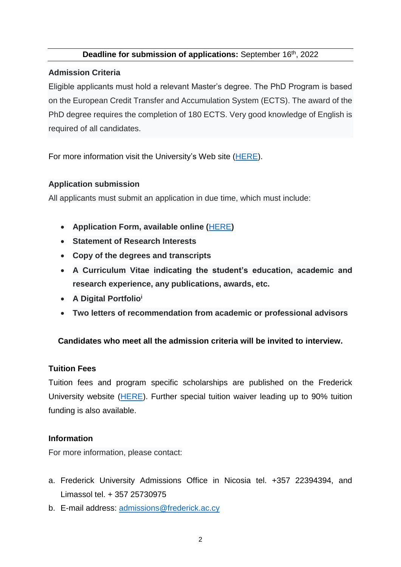### **Deadline for submission of applications:** September 16<sup>th</sup>, 2022

### **Admission Criteria**

Eligible applicants must hold a relevant Master's degree. The PhD Program is based on the European Credit Transfer and Accumulation System (ECTS). The award of the PhD degree requires the completion of 180 ECTS. Very good knowledge of English is required of all candidates.

For more information visit the University's Web site [\(HERE\)](http://www.frederick.ac.cy/doctoral/index.php?option=com_content&view=article&id=5&Itemid=107).

### **Application submission**

All applicants must submit an application in due time, which must include:

- **Application Form, available online (**[HERE](http://www.frederick.ac.cy/fu_documents/application_form.pdf)**)**
- **Statement of Research Interests**
- **Copy of the degrees and transcripts**
- **A Curriculum Vitae indicating the student's education, academic and research experience, any publications, awards, etc.**
- **A Digital Portfolio<sup>i</sup>**
- **Two letters of recommendation from academic or professional advisors**

## **Candidates who meet all the admission criteria will be invited to interview.**

#### **Tuition Fees**

Tuition fees and program specific scholarships are published on the Frederick University website [\(HERE\)](http://www.frederick.ac.cy/admissions/tuition-fees-and-expenses). Further special tuition waiver leading up to 90% tuition funding is also available.

## **Information**

For more information, please contact:

- a. Frederick University Admissions Office in Nicosia tel. +357 22394394, and Limassol tel. + 357 25730975
- b. E-mail address: [admissions@frederick.ac.cy](mailto:admissions@frederick.ac.cy)